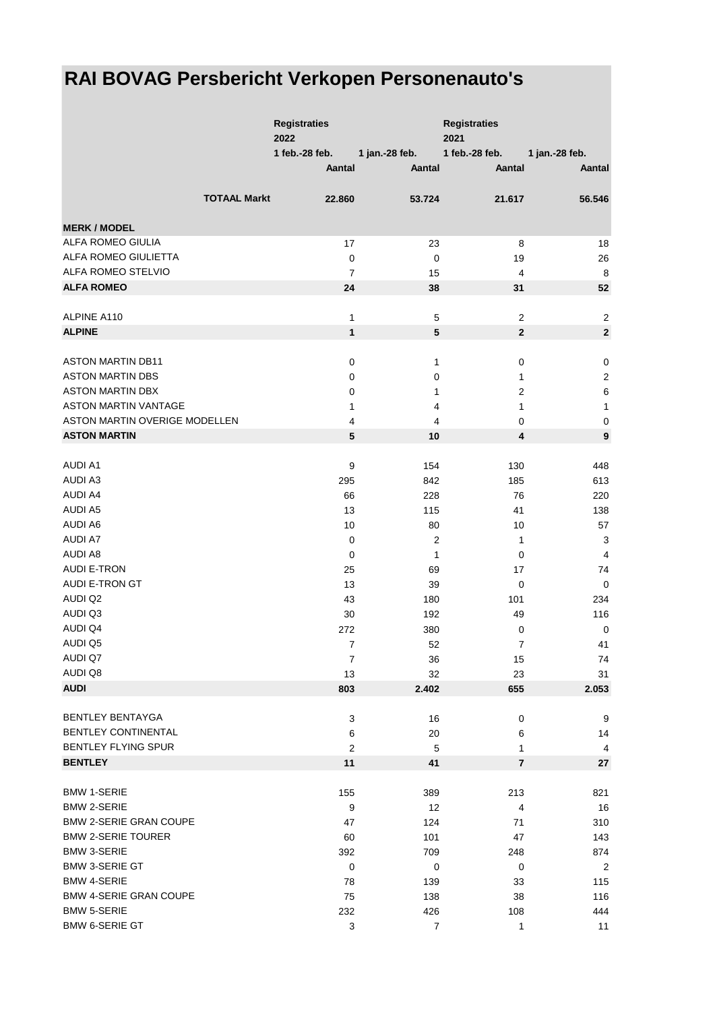## **RAI BOVAG Persbericht Verkopen Personenauto's**

|                               |                     | <b>Registraties</b><br>2022 |                | <b>Registraties</b><br>2021 |                  |
|-------------------------------|---------------------|-----------------------------|----------------|-----------------------------|------------------|
|                               |                     | 1 feb.-28 feb.              | 1 jan.-28 feb. | 1 feb.-28 feb.              | 1 jan.-28 feb.   |
|                               |                     | Aantal                      | Aantal         | Aantal                      | Aantal           |
|                               | <b>TOTAAL Markt</b> | 22.860                      | 53.724         | 21.617                      | 56.546           |
| <b>MERK / MODEL</b>           |                     |                             |                |                             |                  |
| ALFA ROMEO GIULIA             |                     | 17                          | 23             | 8                           | 18               |
| ALFA ROMEO GIULIETTA          |                     | $\pmb{0}$                   | $\mathbf 0$    | 19                          | 26               |
| ALFA ROMEO STELVIO            |                     | $\overline{7}$              | 15             | 4                           | 8                |
| <b>ALFA ROMEO</b>             |                     | 24                          | 38             | 31                          | 52               |
|                               |                     |                             |                |                             |                  |
| ALPINE A110                   |                     | 1                           | $\,$ 5 $\,$    | 2                           | $\overline{2}$   |
| <b>ALPINE</b>                 |                     | $\mathbf{1}$                | $\sqrt{5}$     | $\mathbf{2}$                | $\mathbf{2}$     |
| <b>ASTON MARTIN DB11</b>      |                     | $\pmb{0}$                   | 1              | 0                           | $\pmb{0}$        |
| <b>ASTON MARTIN DBS</b>       |                     |                             |                | 1                           |                  |
| <b>ASTON MARTIN DBX</b>       |                     | $\pmb{0}$                   | 0              |                             | $\sqrt{2}$       |
|                               |                     | 0                           | 1              | 2                           | $\,6\,$          |
| <b>ASTON MARTIN VANTAGE</b>   |                     | 1                           | 4              | 1                           | $\mathbf{1}$     |
| ASTON MARTIN OVERIGE MODELLEN |                     | 4                           | 4              | 0                           | $\mathbf 0$      |
| <b>ASTON MARTIN</b>           |                     | 5                           | 10             | 4                           | $\boldsymbol{9}$ |
| <b>AUDI A1</b>                |                     | $\boldsymbol{9}$            | 154            | 130                         | 448              |
| <b>AUDI A3</b>                |                     | 295                         | 842            | 185                         | 613              |
| <b>AUDI A4</b>                |                     | 66                          | 228            | 76                          | 220              |
| <b>AUDI A5</b>                |                     | 13                          | 115            | 41                          | 138              |
| AUDI A6                       |                     | 10                          | 80             | 10                          | 57               |
| <b>AUDI A7</b>                |                     |                             |                |                             |                  |
|                               |                     | $\mathbf 0$                 | 2              | 1                           | 3                |
| <b>AUDI A8</b>                |                     | 0                           | $\mathbf{1}$   | 0                           | $\overline{4}$   |
| <b>AUDI E-TRON</b>            |                     | 25                          | 69             | 17                          | 74               |
| AUDI E-TRON GT                |                     | 13                          | 39             | 0                           | $\mathbf 0$      |
| <b>AUDI Q2</b>                |                     | 43                          | 180            | 101                         | 234              |
| AUDI Q3                       |                     | 30                          | 192            | 49                          | 116              |
| <b>AUDI Q4</b>                |                     | 272                         | 380            | $\pmb{0}$                   | $\mathbf 0$      |
| AUDI Q5                       |                     | $\overline{7}$              | 52             | $\overline{7}$              | 41               |
| AUDI Q7                       |                     | $\overline{7}$              | 36             | 15                          | 74               |
| AUDI Q8                       |                     | 13                          | 32             | 23                          | 31               |
| <b>AUDI</b>                   |                     | 803                         | 2.402          | 655                         | 2.053            |
| <b>BENTLEY BENTAYGA</b>       |                     | 3                           | 16             | $\pmb{0}$                   | 9                |
| <b>BENTLEY CONTINENTAL</b>    |                     |                             | 20             |                             | 14               |
| <b>BENTLEY FLYING SPUR</b>    |                     | 6                           |                | 6                           |                  |
| <b>BENTLEY</b>                |                     | $\overline{2}$<br>11        | 5<br>41        | 1<br>7                      | 4<br>27          |
|                               |                     |                             |                |                             |                  |
| <b>BMW 1-SERIE</b>            |                     | 155                         | 389            | 213                         | 821              |
| <b>BMW 2-SERIE</b>            |                     | $\boldsymbol{9}$            | 12             | 4                           | 16               |
| <b>BMW 2-SERIE GRAN COUPE</b> |                     | 47                          | 124            | 71                          | 310              |
| <b>BMW 2-SERIE TOURER</b>     |                     | 60                          | 101            | 47                          | 143              |
| <b>BMW 3-SERIE</b>            |                     | 392                         | 709            | 248                         | 874              |
| <b>BMW 3-SERIE GT</b>         |                     | $\mathbf 0$                 | $\mathbf 0$    | $\pmb{0}$                   | $\overline{2}$   |
| <b>BMW 4-SERIE</b>            |                     | 78                          | 139            | 33                          | 115              |
| <b>BMW 4-SERIE GRAN COUPE</b> |                     |                             |                |                             |                  |
| <b>BMW 5-SERIE</b>            |                     | 75                          | 138            | 38                          | 116              |
| <b>BMW 6-SERIE GT</b>         |                     | 232                         | 426            | 108                         | 444              |
|                               |                     | 3                           | 7              | 1                           | $11$             |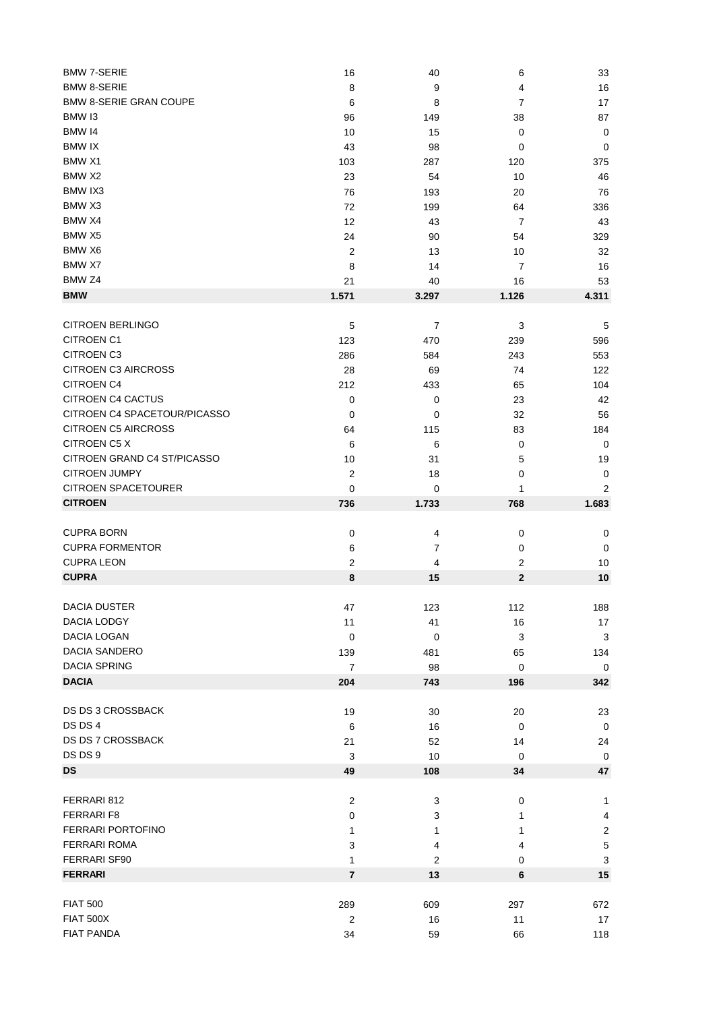| <b>BMW 7-SERIE</b>                    | 16                 | 40             | 6              | 33                |
|---------------------------------------|--------------------|----------------|----------------|-------------------|
| <b>BMW 8-SERIE</b>                    | 8                  | 9              | 4              | 16                |
| <b>BMW 8-SERIE GRAN COUPE</b>         | 6                  | 8              | $\overline{7}$ | 17                |
| BMW 13                                | 96                 | 149            | 38             | 87                |
| <b>BMW 14</b>                         | 10                 | 15             | 0              | $\mathbf 0$       |
| <b>BMW IX</b>                         | 43                 | 98             | 0              | 0                 |
| BMW X1                                |                    |                |                |                   |
|                                       | 103                | 287            | 120            | 375               |
| BMW X2                                | 23                 | 54             | 10             | 46                |
| BMW IX3                               | 76                 | 193            | 20             | 76                |
| BMW X3                                | 72                 | 199            | 64             | 336               |
| BMW X4                                | 12                 | 43             | 7              | 43                |
| BMW X5                                | 24                 | 90             | 54             | 329               |
| BMW X6                                | 2                  | 13             | 10             | 32                |
| BMW X7                                | 8                  | 14             | $\overline{7}$ | 16                |
| BMW Z4                                | 21                 | 40             | 16             | 53                |
| <b>BMW</b>                            | 1.571              | 3.297          | 1.126          | 4.311             |
|                                       |                    |                |                |                   |
| <b>CITROEN BERLINGO</b>               | 5                  | 7              | 3              | 5                 |
| <b>CITROEN C1</b>                     | 123                | 470            | 239            | 596               |
| <b>CITROEN C3</b>                     | 286                | 584            | 243            | 553               |
| <b>CITROEN C3 AIRCROSS</b>            | 28                 | 69             | 74             | 122               |
| <b>CITROEN C4</b>                     | 212                | 433            | 65             | 104               |
| <b>CITROEN C4 CACTUS</b>              | 0                  | 0              | 23             | 42                |
| CITROEN C4 SPACETOUR/PICASSO          | 0                  | 0              |                | 56                |
|                                       |                    |                | 32             |                   |
| <b>CITROEN C5 AIRCROSS</b>            | 64                 | 115            | 83             | 184               |
| CITROEN C5 X                          | 6                  | 6              | 0              | 0                 |
| CITROEN GRAND C4 ST/PICASSO           | 10                 | 31             | 5              | 19                |
| <b>CITROEN JUMPY</b>                  | $\boldsymbol{2}$   | 18             | 0              | 0                 |
| <b>CITROEN SPACETOURER</b>            | $\mathbf 0$        | 0              | 1              | 2                 |
| <b>CITROEN</b>                        | 736                | 1.733          | 768            | 1.683             |
|                                       |                    |                |                |                   |
|                                       |                    |                |                |                   |
| <b>CUPRA BORN</b>                     | 0                  | 4              | $\pmb{0}$      | 0                 |
| <b>CUPRA FORMENTOR</b>                | 6                  | $\overline{7}$ | 0              | 0                 |
| <b>CUPRA LEON</b>                     | $\mathbf{2}$       | 4              | $\overline{c}$ | 10                |
| <b>CUPRA</b>                          | 8                  | 15             | $\mathbf 2$    | 10                |
|                                       |                    |                |                |                   |
| DACIA DUSTER                          | 47                 | 123            | 112            | 188               |
| <b>DACIA LODGY</b>                    | 11                 | 41             | 16             | $17$              |
| DACIA LOGAN                           | $\pmb{0}$          | 0              | 3              | $\sqrt{3}$        |
| DACIA SANDERO                         | 139                | 481            | 65             | 134               |
| <b>DACIA SPRING</b>                   | $\overline{7}$     | 98             | 0              | 0                 |
| <b>DACIA</b>                          | 204                | 743            | 196            | 342               |
|                                       |                    |                |                |                   |
| DS DS 3 CROSSBACK                     | 19                 | 30             | 20             | 23                |
| DS DS 4                               | 6                  | 16             | 0              | $\mathbf 0$       |
| DS DS 7 CROSSBACK                     | 21                 | 52             | 14             | 24                |
| DS DS 9                               |                    |                |                |                   |
| <b>DS</b>                             | $\mathbf{3}$<br>49 | 10<br>108      | 0<br>34        | $\mathbf 0$<br>47 |
|                                       |                    |                |                |                   |
| FERRARI 812                           | $\overline{c}$     | 3              | $\mathbf 0$    | 1                 |
| FERRARI F8                            |                    |                |                |                   |
|                                       | $\pmb{0}$          | 3              | 1              | 4                 |
| FERRARI PORTOFINO                     | 1                  | 1              | 1              | $\sqrt{2}$        |
| FERRARI ROMA                          | 3                  | 4              | 4              | $\mathbf 5$       |
| <b>FERRARI SF90</b>                   | 1                  | 2              | 0              | 3                 |
| <b>FERRARI</b>                        | $\overline{7}$     | 13             | 6              | 15                |
|                                       |                    |                |                |                   |
| <b>FIAT 500</b>                       | 289                | 609            | 297            | 672               |
| <b>FIAT 500X</b><br><b>FIAT PANDA</b> | 2<br>34            | 16<br>59       | 11<br>66       | 17<br>118         |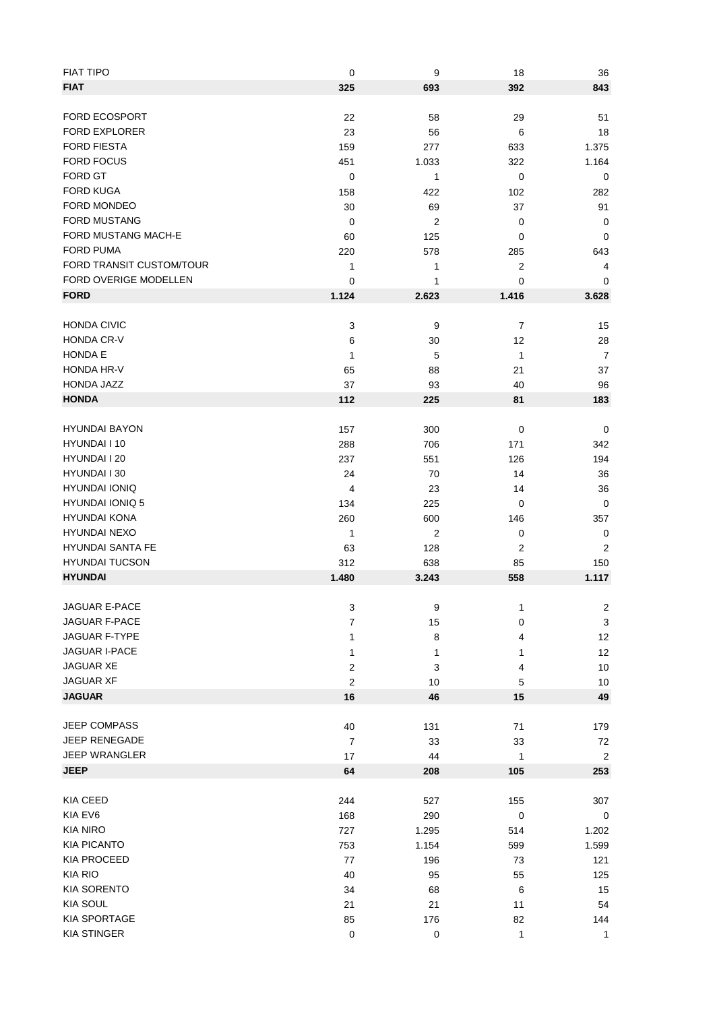| <b>FIAT TIPO</b>         | $\pmb{0}$        | 9                | 18               | 36                      |
|--------------------------|------------------|------------------|------------------|-------------------------|
| <b>FIAT</b>              | 325              | 693              | 392              | 843                     |
|                          |                  |                  |                  |                         |
| <b>FORD ECOSPORT</b>     | 22               | 58               | 29               | 51                      |
| <b>FORD EXPLORER</b>     | 23               | 56               | 6                | 18                      |
| <b>FORD FIESTA</b>       |                  |                  |                  |                         |
|                          | 159              | 277              | 633              | 1.375                   |
| <b>FORD FOCUS</b>        | 451              | 1.033            | 322              | 1.164                   |
| FORD GT                  | $\mathbf 0$      | 1                | $\mathbf 0$      | 0                       |
| <b>FORD KUGA</b>         | 158              | 422              | 102              | 282                     |
| FORD MONDEO              | 30               | 69               | 37               | 91                      |
| FORD MUSTANG             | $\mathbf 0$      | 2                | $\mathbf 0$      | $\mathbf 0$             |
| FORD MUSTANG MACH-E      | 60               | 125              | 0                | 0                       |
| <b>FORD PUMA</b>         | 220              | 578              | 285              | 643                     |
| FORD TRANSIT CUSTOM/TOUR |                  |                  |                  |                         |
|                          | 1                | 1                | 2                | 4                       |
| FORD OVERIGE MODELLEN    | 0                | 1                | 0                | 0                       |
| <b>FORD</b>              | 1.124            | 2.623            | 1.416            | 3.628                   |
|                          |                  |                  |                  |                         |
| <b>HONDA CIVIC</b>       | 3                | 9                | $\boldsymbol{7}$ | 15                      |
| HONDA CR-V               | 6                | 30               | 12               | 28                      |
| HONDA E                  | 1                | 5                | 1                | $\overline{7}$          |
| HONDA HR-V               | 65               | 88               | 21               | 37                      |
| HONDA JAZZ               |                  |                  |                  |                         |
|                          | 37               | 93               | 40               | 96                      |
| <b>HONDA</b>             | 112              | 225              | 81               | 183                     |
|                          |                  |                  |                  |                         |
| <b>HYUNDAI BAYON</b>     | 157              | 300              | 0                | 0                       |
| HYUNDAI I 10             | 288              | 706              | 171              | 342                     |
| HYUNDAI I 20             | 237              | 551              | 126              | 194                     |
| HYUNDAI I 30             | 24               | 70               | 14               | 36                      |
| <b>HYUNDAI IONIQ</b>     | 4                | 23               | 14               | 36                      |
| <b>HYUNDAI IONIQ 5</b>   |                  |                  |                  |                         |
|                          | 134              | 225              | 0                | 0                       |
| <b>HYUNDAI KONA</b>      | 260              | 600              | 146              | 357                     |
| <b>HYUNDAI NEXO</b>      | 1                | $\boldsymbol{2}$ | 0                | $\mathbf 0$             |
| <b>HYUNDAI SANTA FE</b>  | 63               | 128              | $\overline{2}$   | $\overline{2}$          |
| <b>HYUNDAI TUCSON</b>    | 312              | 638              | 85               | 150                     |
| <b>HYUNDAI</b>           | 1.480            | 3.243            | 558              | 1.117                   |
|                          |                  |                  |                  |                         |
| JAGUAR E-PACE            | 3                | 9                | 1                | $\overline{\mathbf{c}}$ |
| JAGUAR F-PACE            | 7                | 15               | 0                | 3                       |
| JAGUAR F-TYPE            |                  |                  |                  |                         |
|                          | 1                | 8                | 4                | 12                      |
| <b>JAGUAR I-PACE</b>     | 1                | 1                | 1                | 12                      |
| <b>JAGUAR XE</b>         | $\boldsymbol{2}$ | 3                | 4                | 10                      |
| <b>JAGUAR XF</b>         | $\boldsymbol{2}$ | 10               | 5                | 10                      |
| <b>JAGUAR</b>            | 16               | 46               | 15               | 49                      |
|                          |                  |                  |                  |                         |
| <b>JEEP COMPASS</b>      | 40               | 131              | 71               | 179                     |
| JEEP RENEGADE            | $\overline{7}$   | 33               | 33               | 72                      |
| <b>JEEP WRANGLER</b>     |                  |                  |                  |                         |
|                          | 17               | 44               | 1                | $\sqrt{2}$              |
| <b>JEEP</b>              | 64               | 208              | 105              | 253                     |
|                          |                  |                  |                  |                         |
| <b>KIA CEED</b>          | 244              | 527              | 155              | 307                     |
| KIA EV6                  | 168              | 290              | $\pmb{0}$        | $\mathbf 0$             |
| <b>KIA NIRO</b>          | 727              | 1.295            | 514              | 1.202                   |
| <b>KIA PICANTO</b>       | 753              | 1.154            | 599              | 1.599                   |
| <b>KIA PROCEED</b>       | 77               | 196              | 73               | 121                     |
| <b>KIA RIO</b>           |                  |                  |                  |                         |
|                          | 40               | 95               | 55               | 125                     |
| <b>KIA SORENTO</b>       | 34               | 68               | 6                | 15                      |
| <b>KIA SOUL</b>          | 21               | 21               | 11               | 54                      |
| <b>KIA SPORTAGE</b>      | 85               | 176              | 82               | 144                     |
| <b>KIA STINGER</b>       | $\pmb{0}$        | $\pmb{0}$        | 1                | $\mathbf{1}$            |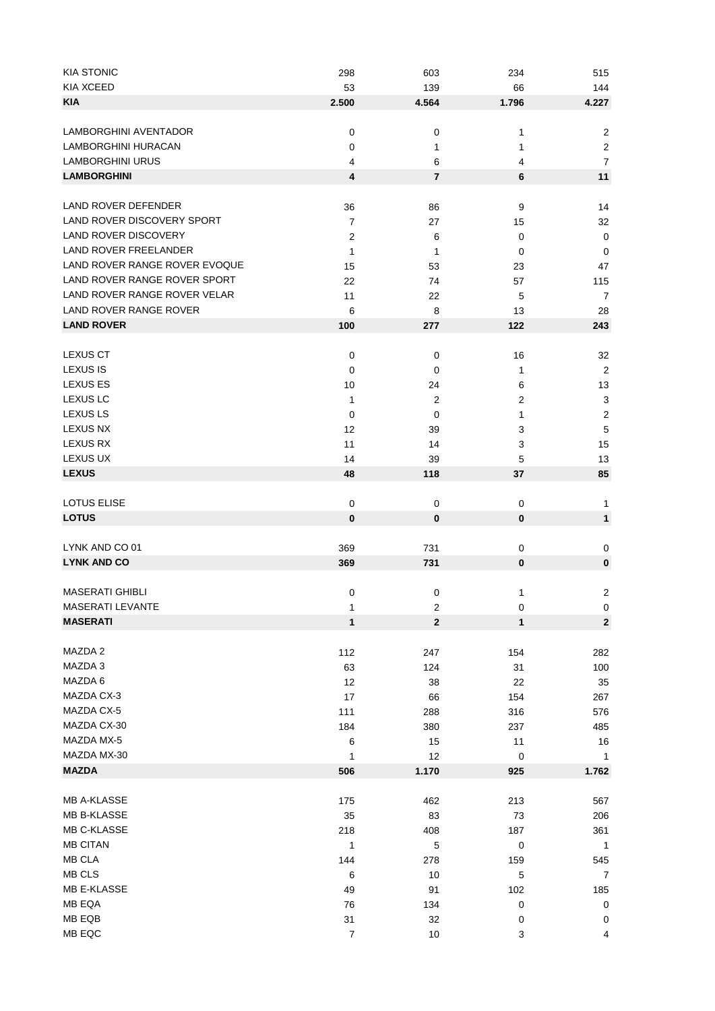| <b>KIA STONIC</b>             | 298              | 603            | 234      | 515            |
|-------------------------------|------------------|----------------|----------|----------------|
| <b>KIA XCEED</b>              | 53               | 139            | 66       | 144            |
| <b>KIA</b>                    | 2.500            | 4.564          | 1.796    | 4.227          |
|                               |                  |                |          |                |
| LAMBORGHINI AVENTADOR         | $\mathbf 0$      | 0              | 1        | $\overline{2}$ |
| LAMBORGHINI HURACAN           | 0                | 1              | 1        | $\overline{c}$ |
| <b>LAMBORGHINI URUS</b>       | 4                | 6              | 4        | $\overline{7}$ |
| <b>LAMBORGHINI</b>            | 4                | $\overline{7}$ | 6        | 11             |
| LAND ROVER DEFENDER           | 36               |                | 9        | 14             |
| LAND ROVER DISCOVERY SPORT    |                  | 86             |          |                |
| <b>LAND ROVER DISCOVERY</b>   | $\overline{7}$   | 27             | 15       | 32             |
| <b>LAND ROVER FREELANDER</b>  | 2                | 6              | 0        | $\mathbf 0$    |
|                               | 1                | 1              | 0        | $\mathbf 0$    |
| LAND ROVER RANGE ROVER EVOQUE | 15               | 53             | 23       | 47             |
| LAND ROVER RANGE ROVER SPORT  | 22               | 74             | 57       | 115            |
| LAND ROVER RANGE ROVER VELAR  | 11               | 22             | 5        | $\overline{7}$ |
| LAND ROVER RANGE ROVER        | 6                | 8              | 13       | 28             |
| <b>LAND ROVER</b>             | 100              | 277            | 122      | 243            |
| <b>LEXUS CT</b>               | 0                | 0              | 16       | 32             |
| <b>LEXUS IS</b>               | 0                | 0              | 1        | $\sqrt{2}$     |
| <b>LEXUS ES</b>               | 10               | 24             | 6        | 13             |
| <b>LEXUS LC</b>               | 1                | 2              | 2        | 3              |
| <b>LEXUS LS</b>               | 0                | 0              | 1        | $\sqrt{2}$     |
| <b>LEXUS NX</b>               | 12               | 39             | 3        | 5              |
| LEXUS RX                      | 11               | 14             | 3        | 15             |
| LEXUS UX                      | 14               | 39             | 5        | 13             |
| <b>LEXUS</b>                  | 48               | 118            | 37       | 85             |
|                               |                  |                |          |                |
| <b>LOTUS ELISE</b>            | $\mathbf 0$      | 0              | 0        | 1              |
| <b>LOTUS</b>                  | 0                | $\bf{0}$       | $\bf{0}$ | $\mathbf{1}$   |
|                               |                  |                |          |                |
| LYNK AND CO 01                | 369              | 731            | 0        | 0              |
| <b>LYNK AND CO</b>            | 369              | 731            | $\bf{0}$ | $\pmb{0}$      |
| <b>MASERATI GHIBLI</b>        |                  |                |          |                |
| MASERATI LEVANTE              | 0                | 0              | 1        | $\overline{c}$ |
| <b>MASERATI</b>               | 1                | 2              | 0        | $\mathsf 0$    |
|                               | 1                | $\mathbf 2$    | 1        | 2              |
| MAZDA 2                       | 112              | 247            | 154      | 282            |
| MAZDA 3                       | 63               | 124            | 31       | 100            |
| MAZDA 6                       | 12               | 38             | 22       | 35             |
| MAZDA CX-3                    | 17               | 66             | 154      | 267            |
| MAZDA CX-5                    | 111              | 288            | 316      | 576            |
| MAZDA CX-30                   | 184              | 380            | 237      | 485            |
| MAZDA MX-5                    | 6                | 15             | 11       | 16             |
| MAZDA MX-30                   | 1                | 12             | 0        | 1              |
| <b>MAZDA</b>                  | 506              | 1.170          | 925      | 1.762          |
|                               |                  |                |          |                |
| MB A-KLASSE                   | 175              | 462            | 213      | 567            |
| MB B-KLASSE                   | 35               | 83             | 73       | 206            |
| MB C-KLASSE                   | 218              | 408            | 187      | 361            |
| <b>MB CITAN</b>               | $\mathbf{1}$     | 5              | 0        | $\overline{1}$ |
| MB CLA                        | 144              | 278            | 159      | 545            |
| MB CLS                        | 6                | 10             | 5        | $\overline{7}$ |
| MB E-KLASSE                   | 49               | 91             | 102      | 185            |
| MB EQA                        | 76               | 134            | 0        | $\pmb{0}$      |
| MB EQB                        | 31               | 32             | 0        | 0              |
| MB EQC                        | $\boldsymbol{7}$ | 10             | 3        | 4              |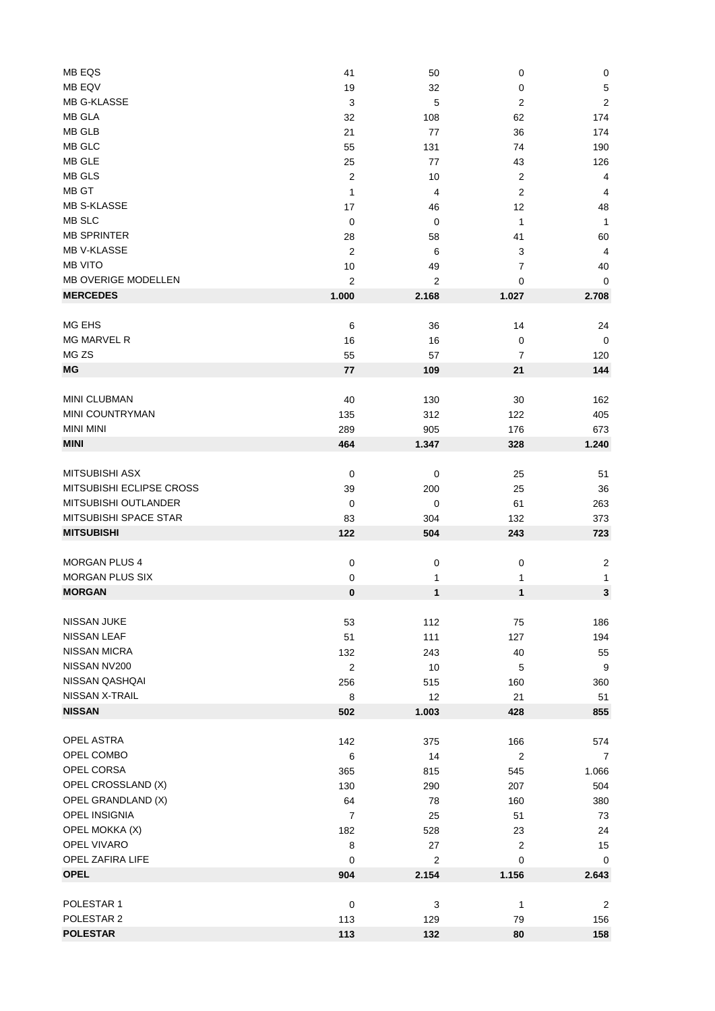| MB EQS                     | 41               | 50             | 0                       | $\pmb{0}$               |
|----------------------------|------------------|----------------|-------------------------|-------------------------|
| MB EQV                     | 19               | 32             | 0                       | $\sqrt{5}$              |
| <b>MB G-KLASSE</b>         | 3                | 5              | $\overline{2}$          | $\overline{c}$          |
| <b>MB GLA</b>              | 32               | 108            | 62                      | 174                     |
| <b>MB GLB</b>              | 21               | 77             | 36                      | 174                     |
| MB GLC                     | 55               | 131            | 74                      | 190                     |
| MB GLE                     |                  |                |                         |                         |
|                            | 25               | 77             | 43                      | 126                     |
| MB GLS                     | $\boldsymbol{2}$ | 10             | $\overline{\mathbf{c}}$ | $\overline{4}$          |
| MB GT                      | 1                | 4              | $\boldsymbol{2}$        | $\overline{4}$          |
| <b>MB S-KLASSE</b>         | 17               | 46             | 12                      | 48                      |
| MB SLC                     | 0                | 0              | 1                       | $\mathbf{1}$            |
| <b>MB SPRINTER</b>         | 28               | 58             | 41                      | 60                      |
| <b>MB V-KLASSE</b>         | $\overline{c}$   | 6              | 3                       | $\overline{4}$          |
| <b>MB VITO</b>             | 10               | 49             | $\overline{7}$          | 40                      |
| <b>MB OVERIGE MODELLEN</b> | $\overline{2}$   | $\overline{2}$ | 0                       | 0                       |
| <b>MERCEDES</b>            | 1.000            | 2.168          | 1.027                   | 2.708                   |
|                            |                  |                |                         |                         |
| MG EHS                     | 6                | 36             | 14                      | 24                      |
| <b>MG MARVEL R</b>         | 16               | 16             | $\pmb{0}$               | $\mathbf 0$             |
| MG <sub>ZS</sub>           | 55               | 57             | 7                       | 120                     |
| ΜG                         | 77               | 109            | 21                      | 144                     |
|                            |                  |                |                         |                         |
| MINI CLUBMAN               | 40               | 130            | 30                      | 162                     |
| MINI COUNTRYMAN            | 135              | 312            | 122                     | 405                     |
| <b>MINI MINI</b>           | 289              | 905            | 176                     | 673                     |
| <b>MINI</b>                |                  |                |                         |                         |
|                            | 464              | 1.347          | 328                     | 1.240                   |
| <b>MITSUBISHI ASX</b>      | $\pmb{0}$        | $\mathbf 0$    | 25                      | 51                      |
| MITSUBISHI ECLIPSE CROSS   |                  |                |                         |                         |
|                            | 39               | 200            | 25                      | 36                      |
| MITSUBISHI OUTLANDER       | 0                | 0              | 61                      | 263                     |
| MITSUBISHI SPACE STAR      | 83               | 304            | 132                     | 373                     |
| <b>MITSUBISHI</b>          | 122              | 504            | 243                     | 723                     |
|                            |                  |                |                         |                         |
| <b>MORGAN PLUS 4</b>       | $\pmb{0}$        | $\mathbf 0$    | $\boldsymbol{0}$        | $\overline{\mathbf{c}}$ |
| <b>MORGAN PLUS SIX</b>     | $\pmb{0}$        | 1              | 1                       | 1                       |
| <b>MORGAN</b>              | $\pmb{0}$        | 1              | 1                       | 3                       |
|                            |                  |                |                         |                         |
| NISSAN JUKE                | 53               | 112            | 75                      | 186                     |
| <b>NISSAN LEAF</b>         | 51               | 111            | 127                     | 194                     |
| <b>NISSAN MICRA</b>        | 132              | 243            | 40                      | 55                      |
| NISSAN NV200               | $\overline{2}$   | 10             | 5                       | 9                       |
| NISSAN QASHQAI             | 256              | 515            | 160                     | 360                     |
| NISSAN X-TRAIL             | 8                | 12             | 21                      | 51                      |
| <b>NISSAN</b>              | 502              | 1.003          | 428                     | 855                     |
|                            |                  |                |                         |                         |
| OPEL ASTRA                 | 142              | 375            | 166                     | 574                     |
| OPEL COMBO                 | 6                | 14             | $\overline{2}$          | 7                       |
| OPEL CORSA                 | 365              | 815            | 545                     | 1.066                   |
| OPEL CROSSLAND (X)         | 130              | 290            | 207                     | 504                     |
| OPEL GRANDLAND (X)         | 64               | 78             | 160                     | 380                     |
| OPEL INSIGNIA              |                  |                |                         |                         |
|                            | $\overline{7}$   | 25             | 51                      | 73                      |
| OPEL MOKKA (X)             | 182              | 528            | 23                      | 24                      |
| OPEL VIVARO                | 8                | 27             | 2                       | 15                      |
| OPEL ZAFIRA LIFE           | $\mathbf 0$      | $\overline{2}$ | 0                       | 0                       |
| <b>OPEL</b>                | 904              | 2.154          | 1.156                   | 2.643                   |
|                            |                  |                |                         |                         |
| POLESTAR 1                 | $\mathbf 0$      | 3              | 1                       | $\overline{2}$          |
| POLESTAR 2                 | 113              | 129            | 79                      | 156                     |
| <b>POLESTAR</b>            | 113              | 132            | 80                      | 158                     |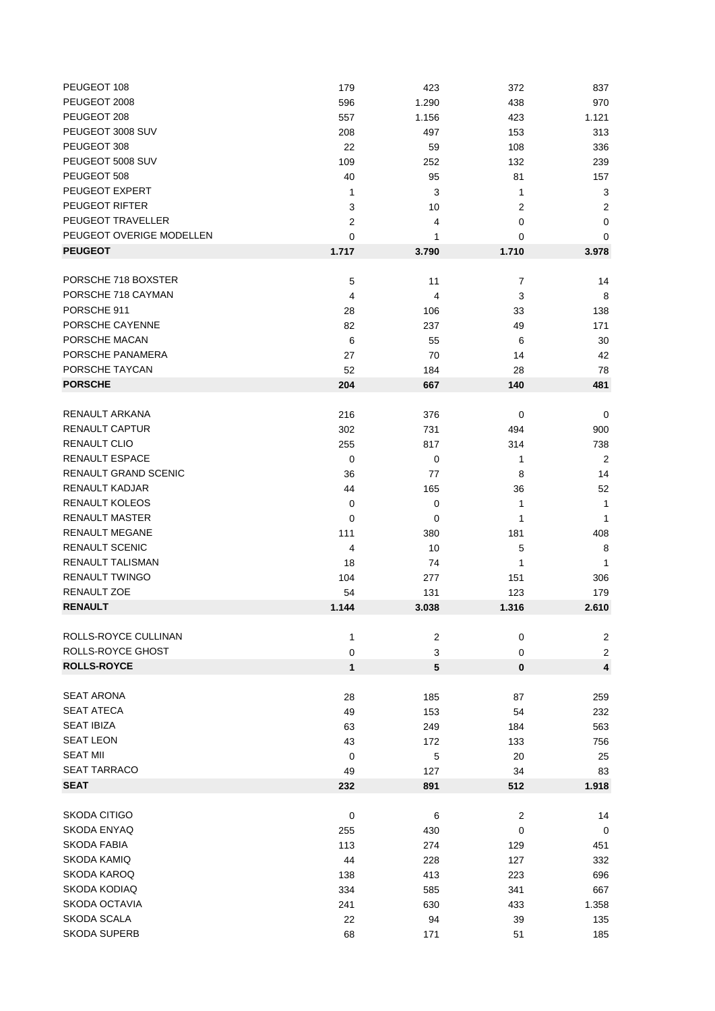| PEUGEOT 108              | 179            | 423            | 372            | 837              |
|--------------------------|----------------|----------------|----------------|------------------|
| PEUGEOT 2008             | 596            | 1.290          | 438            | 970              |
| PEUGEOT 208              | 557            | 1.156          | 423            | 1.121            |
| PEUGEOT 3008 SUV         | 208            | 497            | 153            | 313              |
| PEUGEOT 308              | 22             | 59             | 108            | 336              |
| PEUGEOT 5008 SUV         | 109            | 252            | 132            | 239              |
| PEUGEOT 508              | 40             | 95             | 81             | 157              |
| PEUGEOT EXPERT           | 1              | 3              | $\mathbf{1}$   | 3                |
| PEUGEOT RIFTER           | 3              | 10             | 2              | 2                |
| PEUGEOT TRAVELLER        | $\overline{2}$ | 4              | 0              | $\pmb{0}$        |
| PEUGEOT OVERIGE MODELLEN | 0              | 1              | 0              | 0                |
| <b>PEUGEOT</b>           | 1.717          | 3.790          | 1.710          | 3.978            |
|                          |                |                |                |                  |
| PORSCHE 718 BOXSTER      | 5              | 11             | 7              | 14               |
| PORSCHE 718 CAYMAN       | 4              | 4              | 3              | 8                |
| PORSCHE 911              |                |                |                |                  |
| PORSCHE CAYENNE          | 28             | 106            | 33             | 138              |
|                          | 82             | 237            | 49             | 171              |
| PORSCHE MACAN            | 6              | 55             | 6              | 30               |
| PORSCHE PANAMERA         | 27             | 70             | 14             | 42               |
| PORSCHE TAYCAN           | 52             | 184            | 28             | 78               |
| <b>PORSCHE</b>           | 204            | 667            | 140            | 481              |
|                          |                |                |                |                  |
| RENAULT ARKANA           | 216            | 376            | 0              | 0                |
| RENAULT CAPTUR           | 302            | 731            | 494            | 900              |
| RENAULT CLIO             | 255            | 817            | 314            | 738              |
| <b>RENAULT ESPACE</b>    | 0              | 0              | 1              | $\overline{2}$   |
| RENAULT GRAND SCENIC     | 36             | 77             | 8              | 14               |
| <b>RENAULT KADJAR</b>    | 44             | 165            | 36             | 52               |
| RENAULT KOLEOS           | 0              | 0              | 1              | 1                |
| <b>RENAULT MASTER</b>    | 0              | 0              | 1              | $\mathbf{1}$     |
| <b>RENAULT MEGANE</b>    | 111            | 380            | 181            | 408              |
| <b>RENAULT SCENIC</b>    | 4              | 10             | 5              | 8                |
| RENAULT TALISMAN         | 18             | 74             | 1              | $\mathbf{1}$     |
| <b>RENAULT TWINGO</b>    | 104            | 277            | 151            | 306              |
| RENAULT ZOE              | 54             | 131            | 123            | 179              |
| <b>RENAULT</b>           | 1.144          | 3.038          | 1.316          | 2.610            |
|                          |                |                |                |                  |
| ROLLS-ROYCE CULLINAN     | 1              | $\overline{c}$ | 0              | $\boldsymbol{2}$ |
| ROLLS-ROYCE GHOST        | 0              | 3              | 0              | 2                |
| <b>ROLLS-ROYCE</b>       | 1              | $\sqrt{5}$     | $\bf{0}$       | 4                |
|                          |                |                |                |                  |
| <b>SEAT ARONA</b>        | 28             | 185            | 87             | 259              |
| <b>SEAT ATECA</b>        | 49             | 153            | 54             | 232              |
| <b>SEAT IBIZA</b>        | 63             | 249            | 184            | 563              |
| <b>SEAT LEON</b>         | 43             | 172            | 133            | 756              |
| <b>SEAT MII</b>          | 0              | 5              | 20             | 25               |
| <b>SEAT TARRACO</b>      | 49             | 127            | 34             | 83               |
| <b>SEAT</b>              | 232            | 891            | 512            | 1.918            |
|                          |                |                |                |                  |
| SKODA CITIGO             |                |                |                |                  |
|                          | $\mathbf 0$    | 6              | $\overline{c}$ | 14               |
| SKODA ENYAQ              | 255            | 430            | 0              | $\mathbf 0$      |
| SKODA FABIA              | 113            | 274            | 129            | 451              |
| SKODA KAMIQ              | 44             | 228            | 127            | 332              |
| SKODA KAROQ              | 138            | 413            | 223            | 696              |
| SKODA KODIAQ             | 334            | 585            | 341            | 667              |
| <b>SKODA OCTAVIA</b>     | 241            | 630            | 433            | 1.358            |
| SKODA SCALA              | 22             | 94             | 39             | 135              |
| <b>SKODA SUPERB</b>      | 68             | 171            | 51             | 185              |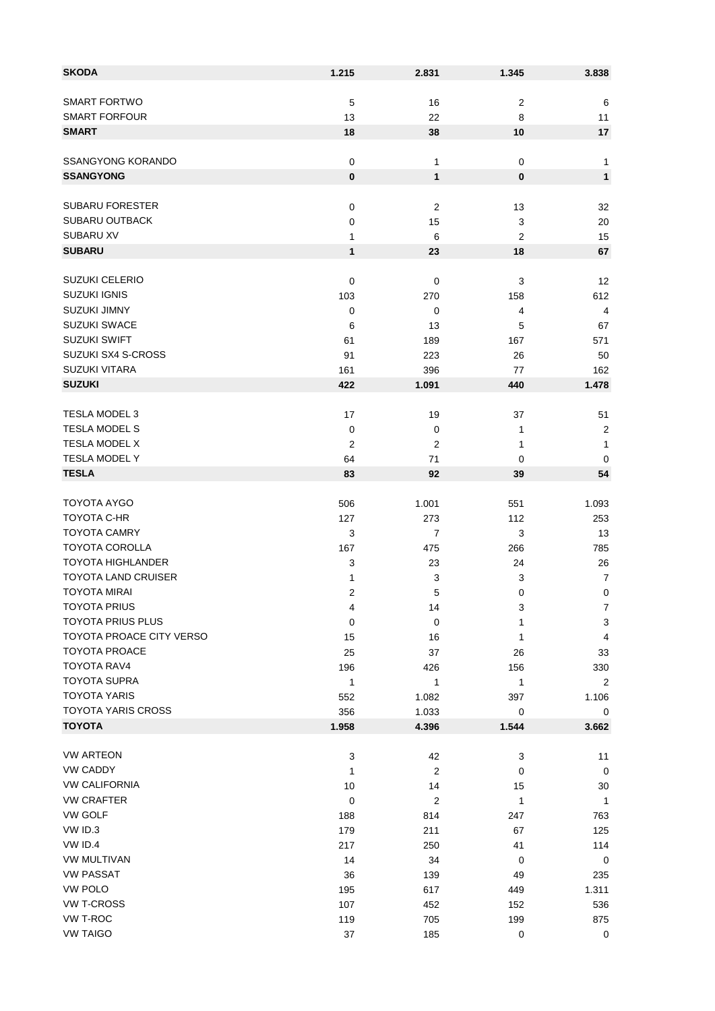| <b>SKODA</b>              | 1.215               | 2.831            | 1.345            | 3.838                     |
|---------------------------|---------------------|------------------|------------------|---------------------------|
|                           |                     |                  |                  |                           |
| <b>SMART FORTWO</b>       | $\mathbf 5$         | 16               | $\boldsymbol{2}$ | 6                         |
| <b>SMART FORFOUR</b>      | 13                  | 22               | 8                | 11                        |
| <b>SMART</b>              | 18                  | 38               | 10               | 17                        |
| <b>SSANGYONG KORANDO</b>  | $\pmb{0}$           | 1                | 0                | 1                         |
| <b>SSANGYONG</b>          | $\pmb{0}$           | 1                | $\bf{0}$         | $\mathbf{1}$              |
|                           |                     |                  |                  |                           |
| <b>SUBARU FORESTER</b>    | $\pmb{0}$           | 2                | 13               | 32                        |
| <b>SUBARU OUTBACK</b>     | 0                   | 15               | 3                | 20                        |
| <b>SUBARU XV</b>          | 1                   | 6                | 2                | 15                        |
| <b>SUBARU</b>             | $\mathbf{1}$        | 23               | 18               | 67                        |
|                           |                     |                  |                  |                           |
| <b>SUZUKI CELERIO</b>     | $\pmb{0}$           | $\mathbf 0$      | 3                | 12                        |
| <b>SUZUKI IGNIS</b>       | 103                 | 270              | 158              | 612                       |
| <b>SUZUKI JIMNY</b>       | 0                   | 0                | 4                | 4                         |
| <b>SUZUKI SWACE</b>       | 6                   | 13               | 5                | 67                        |
| <b>SUZUKI SWIFT</b>       | 61                  | 189              | 167              | 571                       |
| SUZUKI SX4 S-CROSS        | 91                  | 223              | 26               | 50                        |
| <b>SUZUKI VITARA</b>      | 161                 | 396              | 77               | 162                       |
| <b>SUZUKI</b>             | 422                 | 1.091            | 440              | 1.478                     |
| <b>TESLA MODEL 3</b>      |                     |                  |                  |                           |
| <b>TESLA MODEL S</b>      | 17                  | 19               | 37               | 51                        |
| TESLA MODEL X             | 0<br>$\overline{2}$ | 0                | 1                | $\sqrt{2}$                |
| TESLA MODEL Y             | 64                  | 2                | 1                | 1                         |
| <b>TESLA</b>              | 83                  | 71               | 0                | 0<br>54                   |
|                           |                     | 92               | 39               |                           |
| TOYOTA AYGO               | 506                 | 1.001            | 551              | 1.093                     |
| TOYOTA C-HR               | 127                 | 273              | 112              | 253                       |
| <b>TOYOTA CAMRY</b>       | 3                   | $\overline{7}$   | 3                | 13                        |
| <b>TOYOTA COROLLA</b>     | 167                 | 475              | 266              | 785                       |
| <b>TOYOTA HIGHLANDER</b>  | 3                   | 23               | 24               | 26                        |
| TOYOTA LAND CRUISER       | 1                   | 3                | 3                | $\overline{7}$            |
| <b>TOYOTA MIRAI</b>       | 2                   | 5                | 0                | $\mathbf 0$               |
| <b>TOYOTA PRIUS</b>       | 4                   | 14               | 3                | 7                         |
| <b>TOYOTA PRIUS PLUS</b>  | 0                   | 0                | 1                | $\ensuremath{\mathsf{3}}$ |
| TOYOTA PROACE CITY VERSO  | 15                  | 16               | 1                | 4                         |
| TOYOTA PROACE             | 25                  | 37               | 26               | 33                        |
| <b>TOYOTA RAV4</b>        | 196                 | 426              | 156              | 330                       |
| <b>TOYOTA SUPRA</b>       | 1                   | 1                | 1                | $\overline{2}$            |
| <b>TOYOTA YARIS</b>       | 552                 | 1.082            | 397              | 1.106                     |
| <b>TOYOTA YARIS CROSS</b> | 356                 | 1.033            | $\mathbf 0$      | 0                         |
| <b>TOYOTA</b>             | 1.958               | 4.396            | 1.544            | 3.662                     |
| <b>VW ARTEON</b>          | 3                   | 42               | 3                | 11                        |
| <b>VW CADDY</b>           | 1                   | $\boldsymbol{2}$ | 0                | $\mathbf 0$               |
| <b>VW CALIFORNIA</b>      | 10                  | 14               | 15               | 30                        |
| <b>VW CRAFTER</b>         | $\mathbf 0$         | $\overline{c}$   | 1                | $\mathbf{1}$              |
| <b>VW GOLF</b>            | 188                 | 814              | 247              | 763                       |
| VW ID.3                   | 179                 | 211              | 67               | 125                       |
| VW ID.4                   | 217                 | 250              | 41               | 114                       |
| <b>VW MULTIVAN</b>        | 14                  | 34               | 0                | 0                         |
| <b>VW PASSAT</b>          | 36                  | 139              | 49               | 235                       |
| VW POLO                   | 195                 | 617              | 449              | 1.311                     |
| <b>VW T-CROSS</b>         | 107                 | 452              | 152              | 536                       |
| VW T-ROC                  | 119                 | 705              | 199              | 875                       |
| <b>VW TAIGO</b>           | 37                  | 185              | $\pmb{0}$        | $\mathbf 0$               |